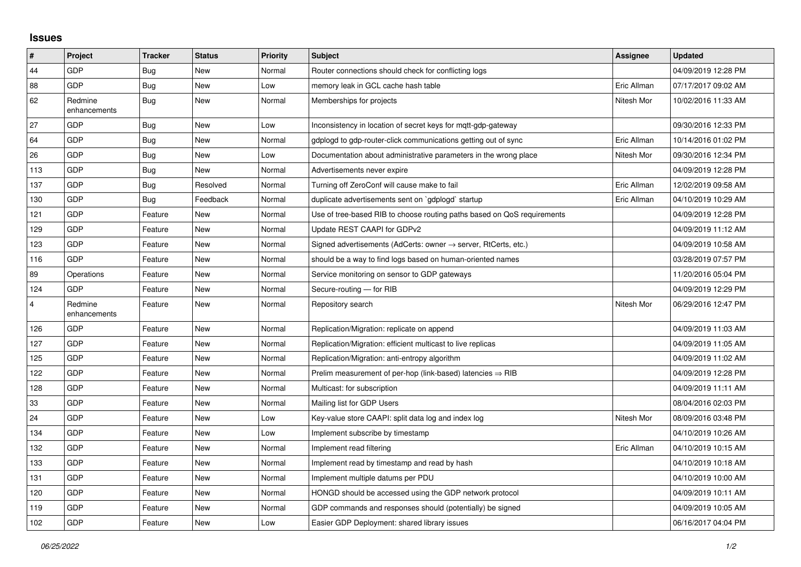## **Issues**

| $\vert$ #      | <b>Project</b>          | <b>Tracker</b> | <b>Status</b> | <b>Priority</b> | <b>Subject</b>                                                             | Assignee    | <b>Updated</b>      |
|----------------|-------------------------|----------------|---------------|-----------------|----------------------------------------------------------------------------|-------------|---------------------|
| 44             | GDP                     | Bug            | <b>New</b>    | Normal          | Router connections should check for conflicting logs                       |             | 04/09/2019 12:28 PM |
| 88             | GDP                     | Bug            | New           | Low             | memory leak in GCL cache hash table                                        | Eric Allman | 07/17/2017 09:02 AM |
| 62             | Redmine<br>enhancements | Bug            | New           | Normal          | Memberships for projects                                                   | Nitesh Mor  | 10/02/2016 11:33 AM |
| 27             | GDP                     | Bug            | <b>New</b>    | Low             | Inconsistency in location of secret keys for mgtt-gdp-gateway              |             | 09/30/2016 12:33 PM |
| 64             | GDP                     | Bug            | <b>New</b>    | Normal          | gdplogd to gdp-router-click communications getting out of sync             | Eric Allman | 10/14/2016 01:02 PM |
| 26             | GDP                     | <b>Bug</b>     | New           | Low             | Documentation about administrative parameters in the wrong place           | Nitesh Mor  | 09/30/2016 12:34 PM |
| 113            | GDP                     | <b>Bug</b>     | <b>New</b>    | Normal          | Advertisements never expire                                                |             | 04/09/2019 12:28 PM |
| 137            | GDP                     | Bug            | Resolved      | Normal          | Turning off ZeroConf will cause make to fail                               | Eric Allman | 12/02/2019 09:58 AM |
| 130            | GDP                     | <b>Bug</b>     | Feedback      | Normal          | duplicate advertisements sent on `gdplogd` startup                         | Eric Allman | 04/10/2019 10:29 AM |
| 121            | GDP                     | Feature        | <b>New</b>    | Normal          | Use of tree-based RIB to choose routing paths based on QoS requirements    |             | 04/09/2019 12:28 PM |
| 129            | GDP                     | Feature        | <b>New</b>    | Normal          | Update REST CAAPI for GDPv2                                                |             | 04/09/2019 11:12 AM |
| 123            | GDP                     | Feature        | <b>New</b>    | Normal          | Signed advertisements (AdCerts: owner $\rightarrow$ server, RtCerts, etc.) |             | 04/09/2019 10:58 AM |
| 116            | GDP                     | Feature        | New           | Normal          | should be a way to find logs based on human-oriented names                 |             | 03/28/2019 07:57 PM |
| 89             | Operations              | Feature        | New           | Normal          | Service monitoring on sensor to GDP gateways                               |             | 11/20/2016 05:04 PM |
| 124            | GDP                     | Feature        | New           | Normal          | Secure-routing - for RIB                                                   |             | 04/09/2019 12:29 PM |
| $\overline{4}$ | Redmine<br>enhancements | Feature        | New           | Normal          | Repository search                                                          | Nitesh Mor  | 06/29/2016 12:47 PM |
| 126            | GDP                     | Feature        | <b>New</b>    | Normal          | Replication/Migration: replicate on append                                 |             | 04/09/2019 11:03 AM |
| 127            | GDP                     | Feature        | New           | Normal          | Replication/Migration: efficient multicast to live replicas                |             | 04/09/2019 11:05 AM |
| 125            | GDP                     | Feature        | New           | Normal          | Replication/Migration: anti-entropy algorithm                              |             | 04/09/2019 11:02 AM |
| 122            | GDP                     | Feature        | <b>New</b>    | Normal          | Prelim measurement of per-hop (link-based) latencies $\Rightarrow$ RIB     |             | 04/09/2019 12:28 PM |
| 128            | GDP                     | Feature        | New           | Normal          | Multicast: for subscription                                                |             | 04/09/2019 11:11 AM |
| 33             | GDP                     | Feature        | New           | Normal          | Mailing list for GDP Users                                                 |             | 08/04/2016 02:03 PM |
| 24             | GDP                     | Feature        | <b>New</b>    | Low             | Key-value store CAAPI: split data log and index log                        | Nitesh Mor  | 08/09/2016 03:48 PM |
| 134            | GDP                     | Feature        | New           | Low             | Implement subscribe by timestamp                                           |             | 04/10/2019 10:26 AM |
| 132            | GDP                     | Feature        | <b>New</b>    | Normal          | Implement read filtering                                                   | Eric Allman | 04/10/2019 10:15 AM |
| 133            | GDP                     | Feature        | New           | Normal          | Implement read by timestamp and read by hash                               |             | 04/10/2019 10:18 AM |
| 131            | GDP                     | Feature        | <b>New</b>    | Normal          | Implement multiple datums per PDU                                          |             | 04/10/2019 10:00 AM |
| 120            | GDP                     | Feature        | New           | Normal          | HONGD should be accessed using the GDP network protocol                    |             | 04/09/2019 10:11 AM |
| 119            | GDP                     | Feature        | New           | Normal          | GDP commands and responses should (potentially) be signed                  |             | 04/09/2019 10:05 AM |
| 102            | GDP                     | Feature        | <b>New</b>    | Low             | Easier GDP Deployment: shared library issues                               |             | 06/16/2017 04:04 PM |